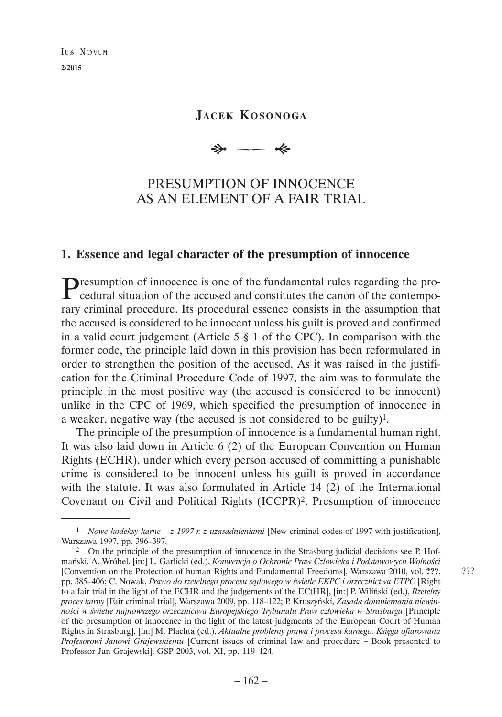#### **I US NOVUM**

**2/2015**

# **JACEK KOSONOGA**

 $\Rightarrow$ --- «

# PRESUMPTION OF INNOCENCE AS AN ELEMENT OF A FAIR TRIAL

### **1. Essence and legal character of the presumption of innocence**

Presumption of innocence is one of the fundamental rules regarding the procedural situation of the accused and constitutes the canon of the contemporary criminal procedure. Its procedural essence consists in the assumption that the accused is considered to be innocent unless his guilt is proved and confirmed in a valid court judgement (Article 5 § 1 of the CPC). In comparison with the former code, the principle laid down in this provision has been reformulated in order to strengthen the position of the accused. As it was raised in the justification for the Criminal Procedure Code of 1997, the aim was to formulate the principle in the most positive way (the accused is considered to be innocent) unlike in the CPC of 1969, which specified the presumption of innocence in a weaker, negative way (the accused is not considered to be guilty)1.

The principle of the presumption of innocence is a fundamental human right. It was also laid down in Article 6 (2) of the European Convention on Human Rights (ECHR), under which every person accused of committing a punishable crime is considered to be innocent unless his guilt is proved in accordance with the statute. It was also formulated in Article 14 (2) of the International Covenant on Civil and Political Rights (ICCPR)2. Presumption of innocence

<sup>1</sup> *Nowe kodeksy karne – z 1997 r. z uzasadnieniami* [New criminal codes of 1997 with justification], Warszawa 1997, pp. 396–397.<br><sup>2</sup> On the principle of the presumption of innocence in the Strasburg judicial decisions see P. Hof-

mański, A. Wróbel, [in:] L. Garlicki (ed.), *Konwencja o Ochronie Praw Człowieka i Podstawowych Wolności* [Convention on the Protection of human Rights and Fundamental Freedoms], Warszawa 2010, vol. **???**, pp. 385–406; C. Nowak, *Prawo do rzetelnego procesu sądowego w świetle EKPC i orzecznictwa ETPC* [Right to a fair trial in the light of the ECHR and the judgements of the ECtHR], [in:] P. Wiliński (ed.), *Rzetelny proces karny* [Fair criminal trial], Warszawa 2009, pp. 118–122; P. Kruszyński, *Zasada domniemania niewinności w świetle najnowszego orzecznictwa Europejskiego Trybunału Praw człowieka w Strasburgu* [Principle of the presumption of innocence in the light of the latest judgments of the European Court of Human Rights in Strasburg], [in:] M. Płachta (ed.), *Aktualne problemy prawa i procesu karnego. Księga ofiarowana Profesorowi Janowi Grajewskiemu* [Current issues of criminal law and procedure – Book presented to Professor Jan Grajewski], GSP 2003, vol. XI, pp. 119–124.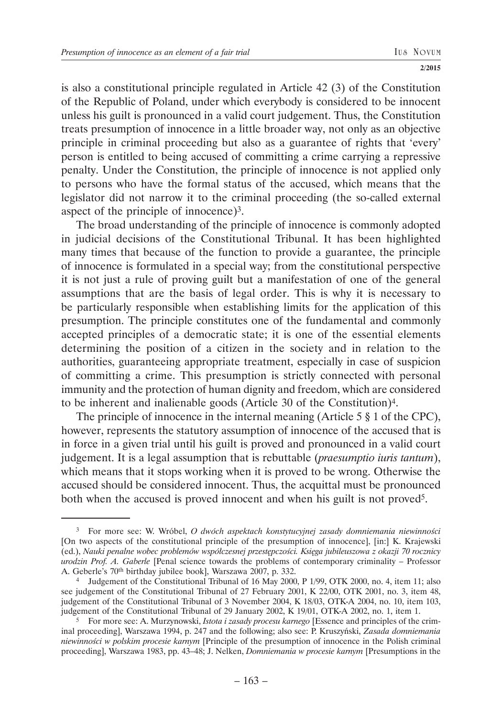is also a constitutional principle regulated in Article 42 (3) of the Constitution of the Republic of Poland, under which everybody is considered to be innocent unless his guilt is pronounced in a valid court judgement. Thus, the Constitution treats presumption of innocence in a little broader way, not only as an objective principle in criminal proceeding but also as a guarantee of rights that 'every' person is entitled to being accused of committing a crime carrying a repressive penalty. Under the Constitution, the principle of innocence is not applied only to persons who have the formal status of the accused, which means that the legislator did not narrow it to the criminal proceeding (the so-called external aspect of the principle of innocence)3.

The broad understanding of the principle of innocence is commonly adopted in judicial decisions of the Constitutional Tribunal. It has been highlighted many times that because of the function to provide a guarantee, the principle of innocence is formulated in a special way; from the constitutional perspective it is not just a rule of proving guilt but a manifestation of one of the general assumptions that are the basis of legal order. This is why it is necessary to be particularly responsible when establishing limits for the application of this presumption. The principle constitutes one of the fundamental and commonly accepted principles of a democratic state; it is one of the essential elements determining the position of a citizen in the society and in relation to the authorities, guaranteeing appropriate treatment, especially in case of suspicion of committing a crime. This presumption is strictly connected with personal immunity and the protection of human dignity and freedom, which are considered to be inherent and inalienable goods (Article 30 of the Constitution)4.

The principle of innocence in the internal meaning (Article 5 § 1 of the CPC), however, represents the statutory assumption of innocence of the accused that is in force in a given trial until his guilt is proved and pronounced in a valid court judgement. It is a legal assumption that is rebuttable (*praesumptio iuris tantum*), which means that it stops working when it is proved to be wrong. Otherwise the accused should be considered innocent. Thus, the acquittal must be pronounced both when the accused is proved innocent and when his guilt is not proved<sup>5</sup>.

<sup>3</sup> For more see: W. Wróbel, *O dwóch aspektach konstytucyjnej zasady domniemania niewinności*  [On two aspects of the constitutional principle of the presumption of innocence], [in:] K. Krajewski (ed.), *Nauki penalne wobec problemów współczesnej przestępczości. Księga jubileuszowa z okazji 70 rocznicy urodzin Prof. A. Gaberle* [Penal science towards the problems of contemporary criminality – Professor A. Geberle's 70th birthday jubilee book], Warszawa 2007, p. 332.

<sup>4</sup> Judgement of the Constitutional Tribunal of 16 May 2000, P 1/99, OTK 2000, no. 4, item 11; also see judgement of the Constitutional Tribunal of 27 February 2001, K 22/00, OTK 2001, no. 3, item 48, judgement of the Constitutional Tribunal of 3 November 2004, K 18/03, OTK-A 2004, no. 10, item 103, judgement of the Constitutional Tribunal of 29 January 2002, K 19/01, OTK-A 2002, no. 1, item 1.

<sup>&</sup>lt;sup>5</sup> For more see: A. Murzynowski, *Istota i zasady procesu karnego* [Essence and principles of the criminal proceeding], Warszawa 1994, p. 247 and the following; also see: P. Kruszyński, *Zasada domniemania niewinności w polskim procesie karnym* [Principle of the presumption of innocence in the Polish criminal proceeding], Warszawa 1983, pp. 43–48; J. Nelken, *Domniemania w procesie karnym* [Presumptions in the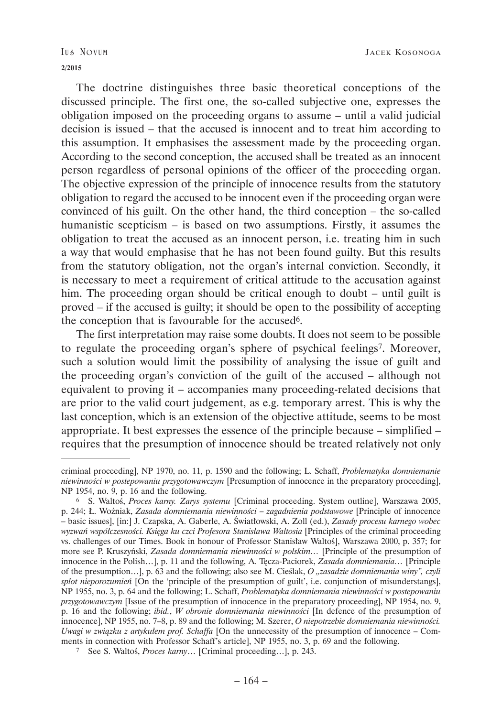The doctrine distinguishes three basic theoretical conceptions of the discussed principle. The first one, the so-called subjective one, expresses the obligation imposed on the proceeding organs to assume – until a valid judicial decision is issued – that the accused is innocent and to treat him according to this assumption. It emphasises the assessment made by the proceeding organ. According to the second conception, the accused shall be treated as an innocent person regardless of personal opinions of the officer of the proceeding organ. The objective expression of the principle of innocence results from the statutory obligation to regard the accused to be innocent even if the proceeding organ were convinced of his guilt. On the other hand, the third conception – the so-called humanistic scepticism – is based on two assumptions. Firstly, it assumes the obligation to treat the accused as an innocent person, i.e. treating him in such a way that would emphasise that he has not been found guilty. But this results from the statutory obligation, not the organ's internal conviction. Secondly, it is necessary to meet a requirement of critical attitude to the accusation against him. The proceeding organ should be critical enough to doubt – until guilt is proved – if the accused is guilty; it should be open to the possibility of accepting the conception that is favourable for the accused6.

The first interpretation may raise some doubts. It does not seem to be possible to regulate the proceeding organ's sphere of psychical feelings7. Moreover, such a solution would limit the possibility of analysing the issue of guilt and the proceeding organ's conviction of the guilt of the accused – although not equivalent to proving it – accompanies many proceeding-related decisions that are prior to the valid court judgement, as e.g. temporary arrest. This is why the last conception, which is an extension of the objective attitude, seems to be most appropriate. It best expresses the essence of the principle because – simplified – requires that the presumption of innocence should be treated relatively not only

criminal proceeding], NP 1970, no. 11, p. 1590 and the following; L. Schaff, *Problematyka domniemanie niewinności w postepowaniu przygotowawczym* [Presumption of innocence in the preparatory proceeding], NP 1954, no. 9, p. 16 and the following.

<sup>6</sup> S. Waltoś, *Proces karny. Zarys systemu* [Criminal proceeding. System outline], Warszawa 2005, p. 244; Ł. Wożniak, *Zasada domniemania niewinności – zagadnienia podstawowe* [Principle of innocence – basic issues], [in:] J. Czapska, A. Gaberle, A. Światłowski, A. Zoll (ed.), *Zasady procesu karnego wobec wyzwań współczesności. Księga ku czci Profesora Stanisława Waltosia* [Principles of the criminal proceeding vs. challenges of our Times. Book in honour of Professor Stanisław Waltoś], Warszawa 2000, p. 357; for more see P. Kruszyński, *Zasada domniemania niewinności w polskim…* [Principle of the presumption of innocence in the Polish…], p. 11 and the following, A. Tęcza-Paciorek, *Zasada domniemania…* [Principle of the presumption…], p. 63 and the following; also see M. Cieślak, *O "zasadzie domniemania winy", czyli splot nieporozumień* [On the 'principle of the presumption of guilt', i.e. conjunction of misunderstangs], NP 1955, no. 3, p. 64 and the following; L. Schaff, *Problematyka domniemania niewinności w postepowaniu przygotowawczym* [Issue of the presumption of innocence in the preparatory proceeding], NP 1954, no. 9, p. 16 and the following; *ibid.*, *W obronie domniemania niewinności* [In defence of the presumption of innocence], NP 1955, no. 7–8, p. 89 and the following; M. Szerer, *O niepotrzebie domniemania niewinności. Uwagi w związku z artykułem prof. Schaffa* [On the unnecessity of the presumption of innocence – Comments in connection with Professor Schaff's article], NP 1955, no. 3, p. 69 and the following. 7 See S. Waltoś, *Proces karny*… [Criminal proceeding…], p. 243.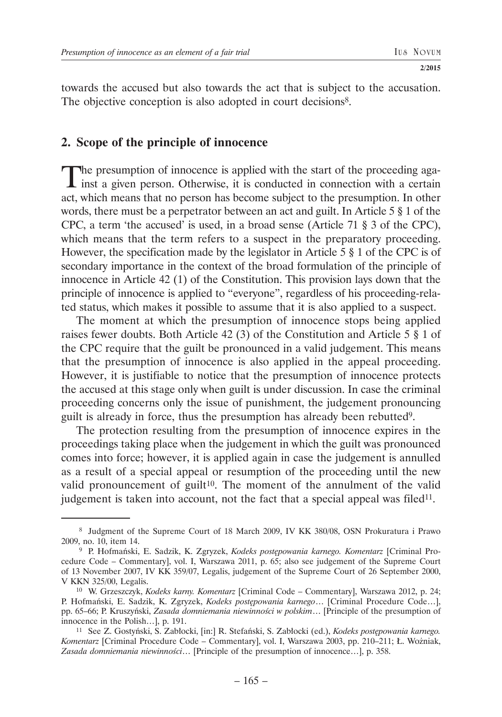towards the accused but also towards the act that is subject to the accusation. The objective conception is also adopted in court decisions<sup>8</sup>.

## **2. Scope of the principle of innocence**

The presumption of innocence is applied with the start of the proceeding against a given person. Otherwise, it is conducted in connection with a certain act, which means that no person has become subject to the presumption. In other words, there must be a perpetrator between an act and guilt. In Article 5 § 1 of the CPC, a term 'the accused' is used, in a broad sense (Article 71 § 3 of the CPC), which means that the term refers to a suspect in the preparatory proceeding. However, the specification made by the legislator in Article 5 § 1 of the CPC is of secondary importance in the context of the broad formulation of the principle of innocence in Article 42 (1) of the Constitution. This provision lays down that the principle of innocence is applied to "everyone", regardless of his proceeding-related status, which makes it possible to assume that it is also applied to a suspect.

The moment at which the presumption of innocence stops being applied raises fewer doubts. Both Article 42 (3) of the Constitution and Article 5 § 1 of the CPC require that the guilt be pronounced in a valid judgement. This means that the presumption of innocence is also applied in the appeal proceeding. However, it is justifiable to notice that the presumption of innocence protects the accused at this stage only when guilt is under discussion. In case the criminal proceeding concerns only the issue of punishment, the judgement pronouncing guilt is already in force, thus the presumption has already been rebutted9.

The protection resulting from the presumption of innocence expires in the proceedings taking place when the judgement in which the guilt was pronounced comes into force; however, it is applied again in case the judgement is annulled as a result of a special appeal or resumption of the proceeding until the new valid pronouncement of guilt<sup>10</sup>. The moment of the annulment of the valid judgement is taken into account, not the fact that a special appeal was filed<sup>11</sup>.

 <sup>8</sup> Judgment of the Supreme Court of 18 March 2009, IV KK 380/08, OSN Prokuratura i Prawo 2009, no. 10, item 14. 9 P. Hofmański, E. Sadzik, K. Zgryzek, *Kodeks postępowania karnego. Komentarz* [Criminal Pro-

cedure Code – Commentary], vol. I, Warszawa 2011, p. 65; also see judgement of the Supreme Court of 13 November 2007, IV KK 359/07, Legalis, judgement of the Supreme Court of 26 September 2000, V KKN 325/00, Legalis.

<sup>10</sup> W. Grzeszczyk, *Kodeks karny. Komentarz* [Criminal Code – Commentary], Warszawa 2012, p. 24; P. Hofmański, E. Sadzik, K. Zgryzek, *Kodeks postępowania karnego*… [Criminal Procedure Code…], pp. 65–66; P. Kruszyński, *Zasada domniemania niewinności w polskim*… [Principle of the presumption of innocence in the Polish…], p. 191.

<sup>11</sup> See Z. Gostyński, S. Zabłocki, [in:] R. Stefański, S. Zabłocki (ed.), *Kodeks postępowania karnego. Komentarz* [Criminal Procedure Code – Commentary], vol. I, Warszawa 2003, pp. 210–211; Ł. Wożniak, *Zasada domniemania niewinności*… [Principle of the presumption of innocence…], p. 358.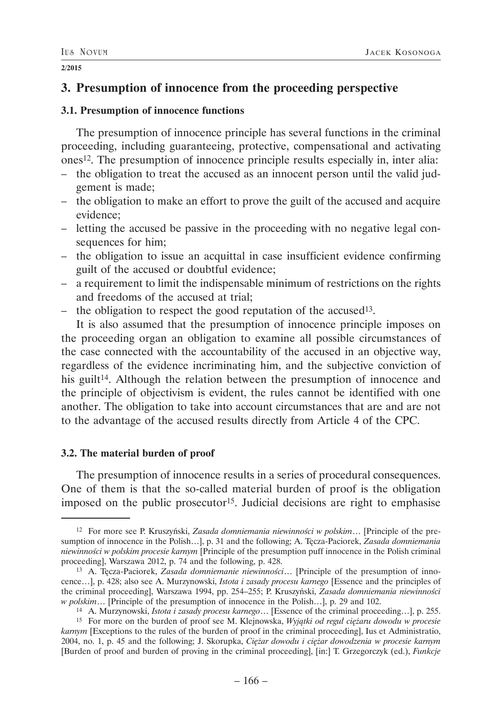# **3. Presumption of innocence from the proceeding perspective**

## **3.1. Presumption of innocence functions**

The presumption of innocence principle has several functions in the criminal proceeding, including guaranteeing, protective, compensational and activating ones12. The presumption of innocence principle results especially in, inter alia:

- the obligation to treat the accused as an innocent person until the valid judgement is made;
- the obligation to make an effort to prove the guilt of the accused and acquire evidence;
- letting the accused be passive in the proceeding with no negative legal consequences for him:
- the obligation to issue an acquittal in case insufficient evidence confirming guilt of the accused or doubtful evidence;
- a requirement to limit the indispensable minimum of restrictions on the rights and freedoms of the accused at trial;
- the obligation to respect the good reputation of the accused<sup>13</sup>.

It is also assumed that the presumption of innocence principle imposes on the proceeding organ an obligation to examine all possible circumstances of the case connected with the accountability of the accused in an objective way, regardless of the evidence incriminating him, and the subjective conviction of his guilt<sup>14</sup>. Although the relation between the presumption of innocence and the principle of objectivism is evident, the rules cannot be identified with one another. The obligation to take into account circumstances that are and are not to the advantage of the accused results directly from Article 4 of the CPC.

## **3.2. The material burden of proof**

The presumption of innocence results in a series of procedural consequences. One of them is that the so-called material burden of proof is the obligation imposed on the public prosecutor15. Judicial decisions are right to emphasise

<sup>12</sup> For more see P. Kruszyński, *Zasada domniemania niewinności w polskim*… [Principle of the presumption of innocence in the Polish…], p. 31 and the following; A. Tęcza-Paciorek, *Zasada domniemania niewinności w polskim procesie karnym* [Principle of the presumption puff innocence in the Polish criminal proceeding], Warszawa 2012, p. 74 and the following, p. 428.

<sup>13</sup> A. Tęcza-Paciorek, *Zasada domniemanie niewinności*… [Principle of the presumption of innocence…], p. 428; also see A. Murzynowski, *Istota i zasady procesu karnego* [Essence and the principles of the criminal proceeding], Warszawa 1994, pp. 254–255; P. Kruszyński, *Zasada domniemania niewinności w polskim*… [Principle of the presumption of innocence in the Polish…], p. 29 and 102.

<sup>14</sup> A. Murzynowski, *Istota i zasady procesu karnego*… [Essence of the criminal proceeding…], p. 255.

<sup>15</sup> For more on the burden of proof see M. Klejnowska, *Wyjątki od reguł ciężaru dowodu w procesie karnym* [Exceptions to the rules of the burden of proof in the criminal proceeding], Ius et Administratio, 2004, no. 1, p. 45 and the following; J. Skorupka, *Ciężar dowodu i ciężar dowodzenia w procesie karnym* [Burden of proof and burden of proving in the criminal proceeding], [in:] T. Grzegorczyk (ed.), *Funkcje*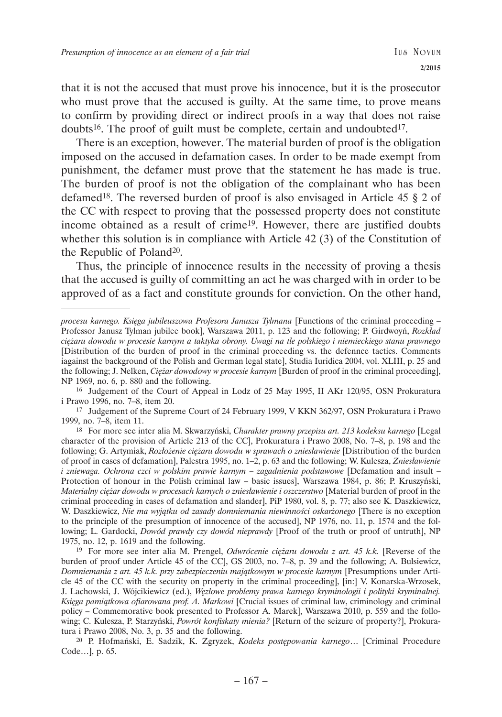that it is not the accused that must prove his innocence, but it is the prosecutor who must prove that the accused is guilty. At the same time, to prove means to confirm by providing direct or indirect proofs in a way that does not raise doubts<sup>16</sup>. The proof of guilt must be complete, certain and undoubted<sup>17</sup>.

There is an exception, however. The material burden of proof is the obligation imposed on the accused in defamation cases. In order to be made exempt from punishment, the defamer must prove that the statement he has made is true. The burden of proof is not the obligation of the complainant who has been defamed18. The reversed burden of proof is also envisaged in Article 45 § 2 of the CC with respect to proving that the possessed property does not constitute income obtained as a result of crime19. However, there are justified doubts whether this solution is in compliance with Article 42 (3) of the Constitution of the Republic of Poland20.

Thus, the principle of innocence results in the necessity of proving a thesis that the accused is guilty of committing an act he was charged with in order to be approved of as a fact and constitute grounds for conviction. On the other hand,

17 Judgement of the Supreme Court of 24 February 1999, V KKN 362/97, OSN Prokuratura i Prawo 1999, no. 7–8, item 11.

*procesu karnego. Księga jubileuszowa Profesora Janusza Tylmana* [Functions of the criminal proceeding – Professor Janusz Tylman jubilee book], Warszawa 2011, p. 123 and the following; P. Girdwoyń, *Rozkład ciężaru dowodu w procesie karnym a taktyka obrony. Uwagi na tle polskiego i niemieckiego stanu prawnego* [Distribution of the burden of proof in the criminal proceeding vs. the defennce tactics. Comments iagainst the background of the Polish and German legal state], Studia Iuridica 2004, vol. XLIII, p. 25 and the following; J. Nelken, *Ciężar dowodowy w procesie karnym* [Burden of proof in the criminal proceeding], NP 1969, no. 6, p. 880 and the following.

<sup>16</sup> Judgement of the Court of Appeal in Lodz of 25 May 1995, II AKr 120/95, OSN Prokuratura i Prawo 1996, no. 7–8, item 20.

<sup>18</sup> For more see inter alia M. Skwarzyński, *Charakter prawny przepisu art. 213 kodeksu karnego* [Legal character of the provision of Article 213 of the CC], Prokuratura i Prawo 2008, No. 7–8, p. 198 and the following; G. Artymiak, *Rozłożenie ciężaru dowodu w sprawach o zniesławienie* [Distribution of the burden of proof in cases of defamation], Palestra 1995, no. 1–2, p. 63 and the following; W. Kulesza, *Zniesławienie i zniewaga. Ochrona czci w polskim prawie karnym – zagadnienia podstawowe* [Defamation and insult – Protection of honour in the Polish criminal law – basic issues], Warszawa 1984, p. 86; P. Kruszyński, *Materialny ciężar dowodu w procesach karnych o zniesławienie i oszczerstwo* [Material burden of proof in the criminal proceeding in cases of defamation and slander], PiP 1980, vol. 8, p. 77; also see K. Daszkiewicz, W. Daszkiewicz, *Nie ma wyjątku od zasady domniemania niewinności oskarżonego* [There is no exception to the principle of the presumption of innocence of the accused], NP 1976, no. 11, p. 1574 and the following; L. Gardocki, *Dowód prawdy czy dowód nieprawdy* [Proof of the truth or proof of untruth], NP 1975, no. 12, p. 1619 and the following.

<sup>19</sup> For more see inter alia M. Prengel, *Odwrócenie ciężaru dowodu z art. 45 k.k.* [Reverse of the burden of proof under Article 45 of the CC], GS 2003, no. 7–8, p. 39 and the following; A. Bulsiewicz, *Domniemania z art. 45 k.k. przy zabezpieczeniu majątkowym w procesie karnym* [Presumptions under Article 45 of the CC with the security on property in the criminal proceeding], [in:] V. Konarska-Wrzosek, J. Lachowski, J. Wójcikiewicz (ed.), *Węzłowe problemy prawa karnego kryminologii i polityki kryminalnej. Księga pamiątkowa ofiarowana prof. A. Markowi* [Crucial issues of criminal law, criminology and criminal policy – Commemorative book presented to Professor A. Marek], Warszawa 2010, p. 559 and the following; C. Kulesza, P. Starzyński, *Powrót konfiskaty mienia?* [Return of the seizure of property?], Prokuratura i Prawo 2008, No. 3, p. 35 and the following.

<sup>20</sup> P. Hofmański, E. Sadzik, K. Zgryzek, *Kodeks postępowania karnego*… [Criminal Procedure Code…], p. 65.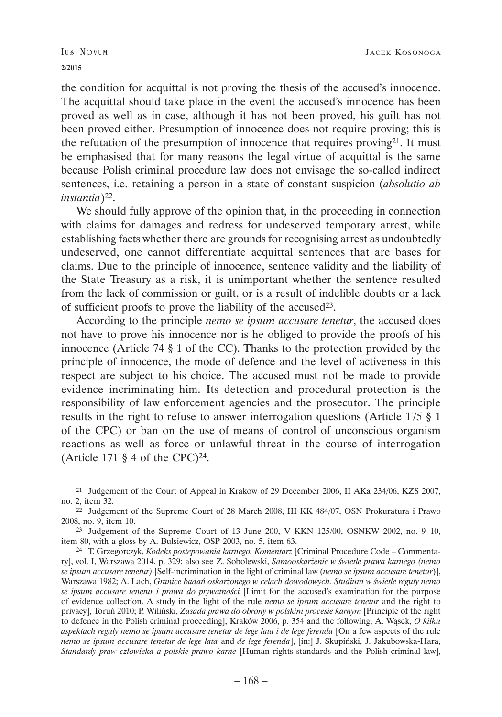the condition for acquittal is not proving the thesis of the accused's innocence. The acquittal should take place in the event the accused's innocence has been proved as well as in case, although it has not been proved, his guilt has not been proved either. Presumption of innocence does not require proving; this is the refutation of the presumption of innocence that requires proving21. It must be emphasised that for many reasons the legal virtue of acquittal is the same because Polish criminal procedure law does not envisage the so-called indirect sentences, i.e. retaining a person in a state of constant suspicion (*absolutio ab instantia*)22.

We should fully approve of the opinion that, in the proceeding in connection with claims for damages and redress for undeserved temporary arrest, while establishing facts whether there are grounds for recognising arrest as undoubtedly undeserved, one cannot differentiate acquittal sentences that are bases for claims. Due to the principle of innocence, sentence validity and the liability of the State Treasury as a risk, it is unimportant whether the sentence resulted from the lack of commission or guilt, or is a result of indelible doubts or a lack of sufficient proofs to prove the liability of the accused23.

According to the principle *nemo se ipsum accusare tenetur*, the accused does not have to prove his innocence nor is he obliged to provide the proofs of his innocence (Article 74 § 1 of the CC). Thanks to the protection provided by the principle of innocence, the mode of defence and the level of activeness in this respect are subject to his choice. The accused must not be made to provide evidence incriminating him. Its detection and procedural protection is the responsibility of law enforcement agencies and the prosecutor. The principle results in the right to refuse to answer interrogation questions (Article 175 § 1 of the CPC) or ban on the use of means of control of unconscious organism reactions as well as force or unlawful threat in the course of interrogation (Article 171  $\S$  4 of the CPC)<sup>24</sup>.

<sup>21</sup> Judgement of the Court of Appeal in Krakow of 29 December 2006, II AKa 234/06, KZS 2007, no. 2, item 32.

<sup>22</sup> Judgement of the Supreme Court of 28 March 2008, III KK 484/07, OSN Prokuratura i Prawo 2008, no. 9, item 10.

<sup>23</sup> Judgement of the Supreme Court of 13 June 200, V KKN 125/00, OSNKW 2002, no. 9–10, item 80, with a gloss by A. Bulsiewicz, OSP 2003, no. 5, item 63.

<sup>24</sup> T. Grzegorczyk, *Kodeks postepowania karnego. Komentarz* [Criminal Procedure Code – Commentary], vol. I, Warszawa 2014, p. 329; also see Z. Sobolewski, *Samooskarżenie w świetle prawa karnego (nemo se ipsum accusare tenetur)* [Self-incrimination in the light of criminal law (*nemo se ipsum accusare tenetur*)], Warszawa 1982; A. Lach, *Granice badań oskarżonego w celach dowodowych. Studium w świetle reguły nemo se ipsum accusare tenetur i prawa do prywatności* [Limit for the accused's examination for the purpose of evidence collection. A study in the light of the rule *nemo se ipsum accusare tenetur* and the right to privacy], Toruń 2010; P. Wiliński, *Zasada prawa do obrony w polskim procesie karnym* [Principle of the right to defence in the Polish criminal proceeding], Kraków 2006, p. 354 and the following; A. Wąsek, *O kilku aspektach reguły nemo se ipsum accusare tenetur de lege lata i de lege ferenda* [On a few aspects of the rule *nemo se ipsum accusare tenetur de lege lata* and *de lege ferenda*], [in:] J. Skupiński, J. Jakubowska-Hara, *Standardy praw człowieka a polskie prawo karne* [Human rights standards and the Polish criminal law],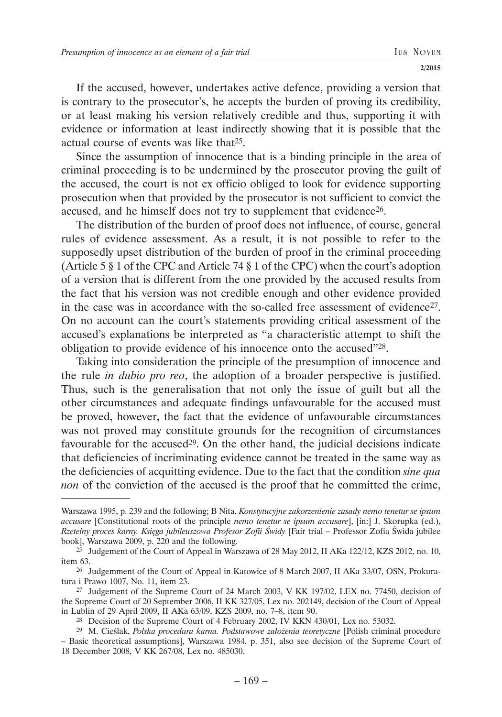If the accused, however, undertakes active defence, providing a version that is contrary to the prosecutor's, he accepts the burden of proving its credibility, or at least making his version relatively credible and thus, supporting it with evidence or information at least indirectly showing that it is possible that the actual course of events was like that25.

Since the assumption of innocence that is a binding principle in the area of criminal proceeding is to be undermined by the prosecutor proving the guilt of the accused, the court is not ex officio obliged to look for evidence supporting prosecution when that provided by the prosecutor is not sufficient to convict the accused, and he himself does not try to supplement that evidence<sup>26</sup>.

The distribution of the burden of proof does not influence, of course, general rules of evidence assessment. As a result, it is not possible to refer to the supposedly upset distribution of the burden of proof in the criminal proceeding (Article 5  $\S$  1 of the CPC and Article 74  $\S$  1 of the CPC) when the court's adoption of a version that is different from the one provided by the accused results from the fact that his version was not credible enough and other evidence provided in the case was in accordance with the so-called free assessment of evidence27. On no account can the court's statements providing critical assessment of the accused's explanations be interpreted as "a characteristic attempt to shift the obligation to provide evidence of his innocence onto the accused"28.

Taking into consideration the principle of the presumption of innocence and the rule *in dubio pro reo*, the adoption of a broader perspective is justified. Thus, such is the generalisation that not only the issue of guilt but all the other circumstances and adequate findings unfavourable for the accused must be proved, however, the fact that the evidence of unfavourable circumstances was not proved may constitute grounds for the recognition of circumstances favourable for the accused<sup>29</sup>. On the other hand, the judicial decisions indicate that deficiencies of incriminating evidence cannot be treated in the same way as the deficiencies of acquitting evidence. Due to the fact that the condition *sine qua non* of the conviction of the accused is the proof that he committed the crime,

Warszawa 1995, p. 239 and the following; B Nita, *Konstytucyjne zakorzenienie zasady nemo tenetur se ipsum accusare* [Constitutional roots of the principle *nemo tenetur se ipsum accusare*], [in:] J. Skorupka (ed.), *Rzetelny proces karny. Księga jubileuszowa Profesor Zofii Świdy* [Fair trial – Professor Zofia Świda jubilee book], Warszawa 2009, p. 220 and the following.

 $25$  Judgement of the Court of Appeal in Warszawa of 28 May 2012, II AKa 122/12, KZS 2012, no. 10, item 63.

<sup>26</sup> Judgemment of the Court of Appeal in Katowice of 8 March 2007, II AKa 33/07, OSN, Prokuratura i Prawo 1007, No. 11, item 23.

<sup>27</sup> Judgement of the Supreme Court of 24 March 2003, V KK 197/02, LEX no. 77450, decision of the Supreme Court of 20 September 2006, II KK 327/05, Lex no. 202149, decision of the Court of Appeal in Lublin of 29 April 2009, II AKa 63/09, KZS 2009, no. 7–8, item 90.

<sup>28</sup> Decision of the Supreme Court of 4 February 2002, IV KKN 430/01, Lex no. 53032.

<sup>29</sup> M. Cieślak, *Polska procedura karna. Podstawowe założenia teoretyczne* [Polish criminal procedure – Basic theoretical assumptions], Warszawa 1984, p. 351, also see decision of the Supreme Court of 18 December 2008, V KK 267/08, Lex no. 485030.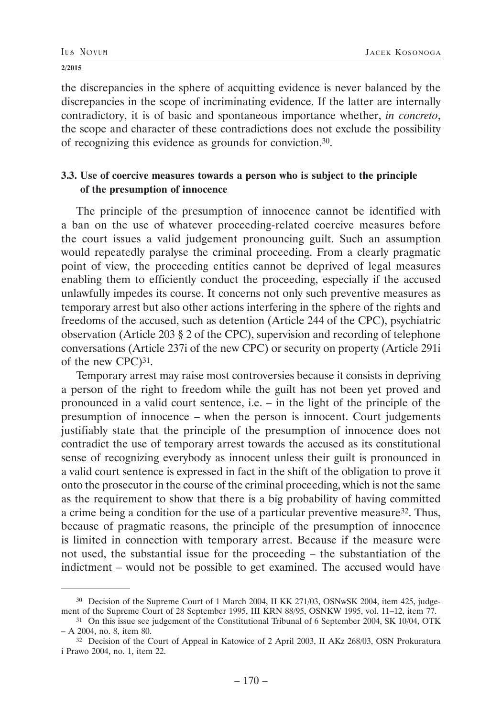the discrepancies in the sphere of acquitting evidence is never balanced by the discrepancies in the scope of incriminating evidence. If the latter are internally contradictory, it is of basic and spontaneous importance whether, *in concreto*, the scope and character of these contradictions does not exclude the possibility of recognizing this evidence as grounds for conviction.30.

## **3.3. Use of coercive measures towards a person who is subject to the principle of the presumption of innocence**

The principle of the presumption of innocence cannot be identified with a ban on the use of whatever proceeding-related coercive measures before the court issues a valid judgement pronouncing guilt. Such an assumption would repeatedly paralyse the criminal proceeding. From a clearly pragmatic point of view, the proceeding entities cannot be deprived of legal measures enabling them to efficiently conduct the proceeding, especially if the accused unlawfully impedes its course. It concerns not only such preventive measures as temporary arrest but also other actions interfering in the sphere of the rights and freedoms of the accused, such as detention (Article 244 of the CPC), psychiatric observation (Article 203 § 2 of the CPC), supervision and recording of telephone conversations (Article 237i of the new CPC) or security on property (Article 291i of the new CPC)31.

Temporary arrest may raise most controversies because it consists in depriving a person of the right to freedom while the guilt has not been yet proved and pronounced in a valid court sentence, i.e. – in the light of the principle of the presumption of innocence – when the person is innocent. Court judgements justifiably state that the principle of the presumption of innocence does not contradict the use of temporary arrest towards the accused as its constitutional sense of recognizing everybody as innocent unless their guilt is pronounced in a valid court sentence is expressed in fact in the shift of the obligation to prove it onto the prosecutor in the course of the criminal proceeding, which is not the same as the requirement to show that there is a big probability of having committed a crime being a condition for the use of a particular preventive measure32. Thus, because of pragmatic reasons, the principle of the presumption of innocence is limited in connection with temporary arrest. Because if the measure were not used, the substantial issue for the proceeding – the substantiation of the indictment – would not be possible to get examined. The accused would have

<sup>30</sup> Decision of the Supreme Court of 1 March 2004, II KK 271/03, OSNwSK 2004, item 425, judgement of the Supreme Court of 28 September 1995, III KRN 88/95, OSNKW 1995, vol. 11–12, item 77.

<sup>&</sup>lt;sup>31</sup> On this issue see judgement of the Constitutional Tribunal of 6 September 2004, SK 10/04, OTK – A 2004, no. 8, item 80.

<sup>32</sup> Decision of the Court of Appeal in Katowice of 2 April 2003, II AKz 268/03, OSN Prokuratura i Prawo 2004, no. 1, item 22.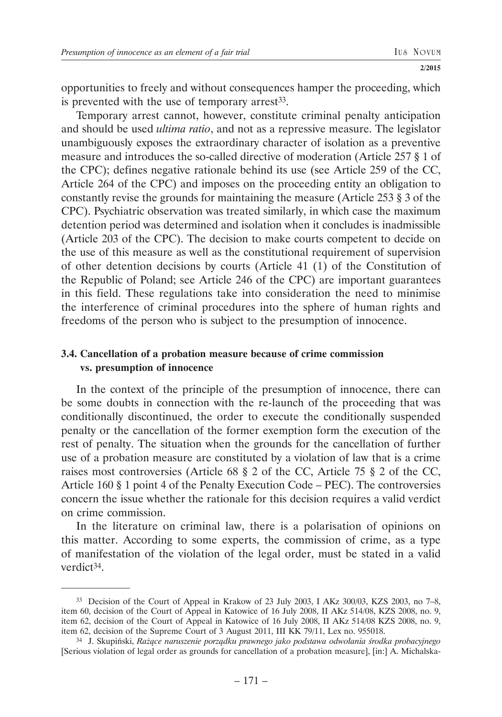opportunities to freely and without consequences hamper the proceeding, which is prevented with the use of temporary arrest<sup>33</sup>.

Temporary arrest cannot, however, constitute criminal penalty anticipation and should be used *ultima ratio*, and not as a repressive measure. The legislator unambiguously exposes the extraordinary character of isolation as a preventive measure and introduces the so-called directive of moderation (Article 257 § 1 of the CPC); defines negative rationale behind its use (see Article 259 of the CC, Article 264 of the CPC) and imposes on the proceeding entity an obligation to constantly revise the grounds for maintaining the measure (Article 253 § 3 of the CPC). Psychiatric observation was treated similarly, in which case the maximum detention period was determined and isolation when it concludes is inadmissible (Article 203 of the CPC). The decision to make courts competent to decide on the use of this measure as well as the constitutional requirement of supervision of other detention decisions by courts (Article 41 (1) of the Constitution of the Republic of Poland; see Article 246 of the CPC) are important guarantees in this field. These regulations take into consideration the need to minimise the interference of criminal procedures into the sphere of human rights and freedoms of the person who is subject to the presumption of innocence.

## **3.4. Cancellation of a probation measure because of crime commission vs. presumption of innocence**

In the context of the principle of the presumption of innocence, there can be some doubts in connection with the re-launch of the proceeding that was conditionally discontinued, the order to execute the conditionally suspended penalty or the cancellation of the former exemption form the execution of the rest of penalty. The situation when the grounds for the cancellation of further use of a probation measure are constituted by a violation of law that is a crime raises most controversies (Article 68 § 2 of the CC, Article 75 § 2 of the CC, Article 160 § 1 point 4 of the Penalty Execution Code – PEC). The controversies concern the issue whether the rationale for this decision requires a valid verdict on crime commission.

In the literature on criminal law, there is a polarisation of opinions on this matter. According to some experts, the commission of crime, as a type of manifestation of the violation of the legal order, must be stated in a valid verdict34.

<sup>33</sup> Decision of the Court of Appeal in Krakow of 23 July 2003, I AKz 300/03, KZS 2003, no 7–8, item 60, decision of the Court of Appeal in Katowice of 16 July 2008, II AKz 514/08, KZS 2008, no. 9, item 62, decision of the Court of Appeal in Katowice of 16 July 2008, II AKz 514/08 KZS 2008, no. 9, item 62, decision of the Supreme Court of 3 August 2011, III KK 79/11, Lex no. 955018.

<sup>34</sup> J. Skupiński, *Rażące naruszenie porządku prawnego jako podstawa odwołania środka probacyjnego* [Serious violation of legal order as grounds for cancellation of a probation measure], [in:] A. Michalska-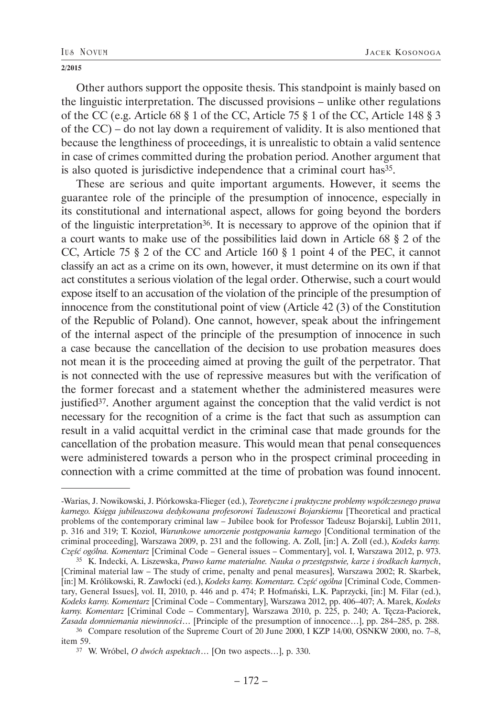Other authors support the opposite thesis. This standpoint is mainly based on the linguistic interpretation. The discussed provisions – unlike other regulations of the CC (e.g. Article 68 § 1 of the CC, Article 75 § 1 of the CC, Article 148 § 3 of the CC) – do not lay down a requirement of validity. It is also mentioned that because the lengthiness of proceedings, it is unrealistic to obtain a valid sentence in case of crimes committed during the probation period. Another argument that is also quoted is jurisdictive independence that a criminal court has<sup>35</sup>.

These are serious and quite important arguments. However, it seems the guarantee role of the principle of the presumption of innocence, especially in its constitutional and international aspect, allows for going beyond the borders of the linguistic interpretation36. It is necessary to approve of the opinion that if a court wants to make use of the possibilities laid down in Article 68 § 2 of the CC, Article 75 § 2 of the CC and Article 160 § 1 point 4 of the PEC, it cannot classify an act as a crime on its own, however, it must determine on its own if that act constitutes a serious violation of the legal order. Otherwise, such a court would expose itself to an accusation of the violation of the principle of the presumption of innocence from the constitutional point of view (Article 42 (3) of the Constitution of the Republic of Poland). One cannot, however, speak about the infringement of the internal aspect of the principle of the presumption of innocence in such a case because the cancellation of the decision to use probation measures does not mean it is the proceeding aimed at proving the guilt of the perpetrator. That is not connected with the use of repressive measures but with the verification of the former forecast and a statement whether the administered measures were justified37. Another argument against the conception that the valid verdict is not necessary for the recognition of a crime is the fact that such as assumption can result in a valid acquittal verdict in the criminal case that made grounds for the cancellation of the probation measure. This would mean that penal consequences were administered towards a person who in the prospect criminal proceeding in connection with a crime committed at the time of probation was found innocent.

<sup>-</sup>Warias, J. Nowikowski, J. Piórkowska-Flieger (ed.), *Teoretyczne i praktyczne problemy współczesnego prawa karnego. Księga jubileuszowa dedykowana profesorowi Tadeuszowi Bojarskiemu* [Theoretical and practical problems of the contemporary criminal law – Jubilee book for Professor Tadeusz Bojarski], Lublin 2011, p. 316 and 319; T. Kozioł, *Warunkowe umorzenie postępowania karnego* [Conditional termination of the criminal proceeding], Warszawa 2009, p. 231 and the following. A. Zoll, [in:] A. Zoll (ed.), *Kodeks karny. Część ogólna. Komentarz* [Criminal Code – General issues – Commentary], vol. I, Warszawa 2012, p. 973.

<sup>35</sup> K. Indecki, A. Liszewska, *Prawo karne materialne. Nauka o przestępstwie, karze i środkach karnych*, [Criminal material law – The study of crime, penalty and penal measures], Warszawa 2002; R. Skarbek, [in:] M. Królikowski, R. Zawłocki (ed.), *Kodeks karny. Komentarz. Część ogólna* [Criminal Code, Commentary, General Issues], vol. II, 2010, p. 446 and p. 474; P. Hofmański, L.K. Paprzycki, [in:] M. Filar (ed.), *Kodeks karny. Komentarz* [Criminal Code – Commentary], Warszawa 2012, pp. 406–407; A. Marek, *Kodeks karny. Komentarz* [Criminal Code – Commentary], Warszawa 2010, p. 225, p. 240; A. Tęcza-Paciorek, *Zasada domniemania niewinności*… [Principle of the presumption of innocence…], pp. 284–285, p. 288.

<sup>36</sup> Compare resolution of the Supreme Court of 20 June 2000, I KZP 14/00, OSNKW 2000, no. 7–8, item 59.

<sup>37</sup> W. Wróbel, *O dwóch aspektach*… [On two aspects…], p. 330.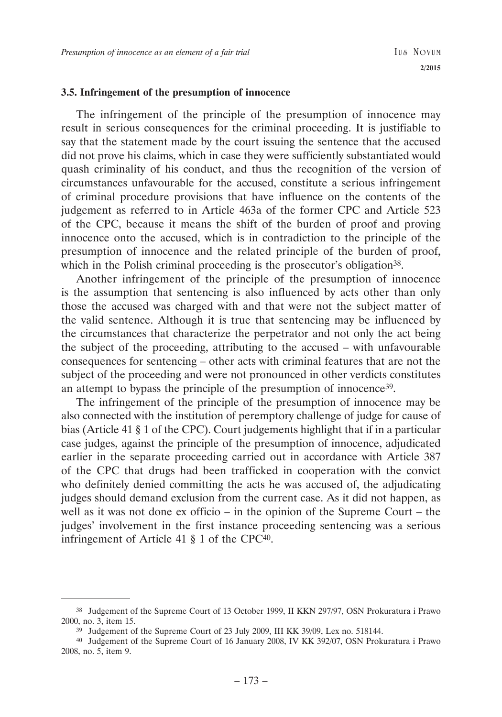### **3.5. Infringement of the presumption of innocence**

The infringement of the principle of the presumption of innocence may result in serious consequences for the criminal proceeding. It is justifiable to say that the statement made by the court issuing the sentence that the accused did not prove his claims, which in case they were sufficiently substantiated would quash criminality of his conduct, and thus the recognition of the version of circumstances unfavourable for the accused, constitute a serious infringement of criminal procedure provisions that have influence on the contents of the judgement as referred to in Article 463a of the former CPC and Article 523 of the CPC, because it means the shift of the burden of proof and proving innocence onto the accused, which is in contradiction to the principle of the presumption of innocence and the related principle of the burden of proof, which in the Polish criminal proceeding is the prosecutor's obligation<sup>38</sup>.

Another infringement of the principle of the presumption of innocence is the assumption that sentencing is also influenced by acts other than only those the accused was charged with and that were not the subject matter of the valid sentence. Although it is true that sentencing may be influenced by the circumstances that characterize the perpetrator and not only the act being the subject of the proceeding, attributing to the accused – with unfavourable consequences for sentencing – other acts with criminal features that are not the subject of the proceeding and were not pronounced in other verdicts constitutes an attempt to bypass the principle of the presumption of innocence39.

The infringement of the principle of the presumption of innocence may be also connected with the institution of peremptory challenge of judge for cause of bias (Article 41 § 1 of the CPC). Court judgements highlight that if in a particular case judges, against the principle of the presumption of innocence, adjudicated earlier in the separate proceeding carried out in accordance with Article 387 of the CPC that drugs had been trafficked in cooperation with the convict who definitely denied committing the acts he was accused of, the adjudicating judges should demand exclusion from the current case. As it did not happen, as well as it was not done ex officio – in the opinion of the Supreme Court – the judges' involvement in the first instance proceeding sentencing was a serious infringement of Article 41 § 1 of the CPC40.

<sup>38</sup> Judgement of the Supreme Court of 13 October 1999, II KKN 297/97, OSN Prokuratura i Prawo 2000, no. 3, item 15.

<sup>39</sup> Judgement of the Supreme Court of 23 July 2009, III KK 39/09, Lex no. 518144.

<sup>40</sup> Judgement of the Supreme Court of 16 January 2008, IV KK 392/07, OSN Prokuratura i Prawo 2008, no. 5, item 9.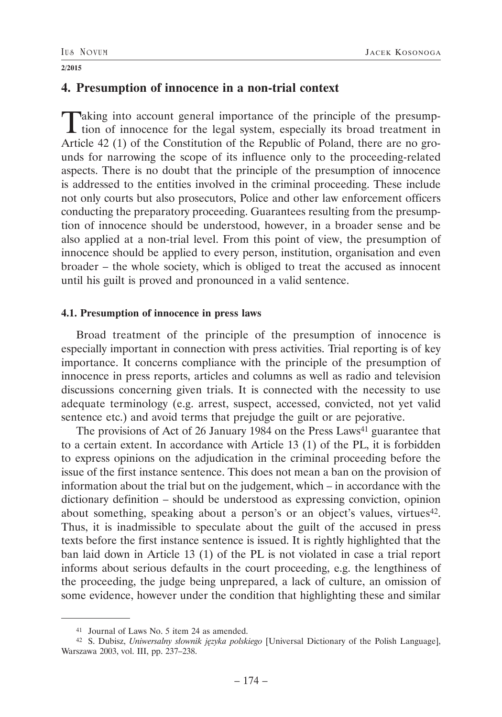## **4. Presumption of innocence in a non-trial context**

Taking into account general importance of the principle of the presump-tion of innocence for the legal system, especially its broad treatment in Article 42 (1) of the Constitution of the Republic of Poland, there are no grounds for narrowing the scope of its influence only to the proceeding-related aspects. There is no doubt that the principle of the presumption of innocence is addressed to the entities involved in the criminal proceeding. These include not only courts but also prosecutors, Police and other law enforcement officers conducting the preparatory proceeding. Guarantees resulting from the presumption of innocence should be understood, however, in a broader sense and be also applied at a non-trial level. From this point of view, the presumption of innocence should be applied to every person, institution, organisation and even broader – the whole society, which is obliged to treat the accused as innocent until his guilt is proved and pronounced in a valid sentence.

### **4.1. Presumption of innocence in press laws**

Broad treatment of the principle of the presumption of innocence is especially important in connection with press activities. Trial reporting is of key importance. It concerns compliance with the principle of the presumption of innocence in press reports, articles and columns as well as radio and television discussions concerning given trials. It is connected with the necessity to use adequate terminology (e.g. arrest, suspect, accessed, convicted, not yet valid sentence etc.) and avoid terms that prejudge the guilt or are pejorative.

The provisions of Act of 26 January 1984 on the Press Laws<sup>41</sup> guarantee that to a certain extent. In accordance with Article 13 (1) of the PL, it is forbidden to express opinions on the adjudication in the criminal proceeding before the issue of the first instance sentence. This does not mean a ban on the provision of information about the trial but on the judgement, which – in accordance with the dictionary definition – should be understood as expressing conviction, opinion about something, speaking about a person's or an object's values, virtues<sup>42</sup>. Thus, it is inadmissible to speculate about the guilt of the accused in press texts before the first instance sentence is issued. It is rightly highlighted that the ban laid down in Article 13 (1) of the PL is not violated in case a trial report informs about serious defaults in the court proceeding, e.g. the lengthiness of the proceeding, the judge being unprepared, a lack of culture, an omission of some evidence, however under the condition that highlighting these and similar

<sup>41</sup> Journal of Laws No. 5 item 24 as amended.

<sup>42</sup> S. Dubisz, *Uniwersalny słownik języka polskiego* [Universal Dictionary of the Polish Language], Warszawa 2003, vol. III, pp. 237–238.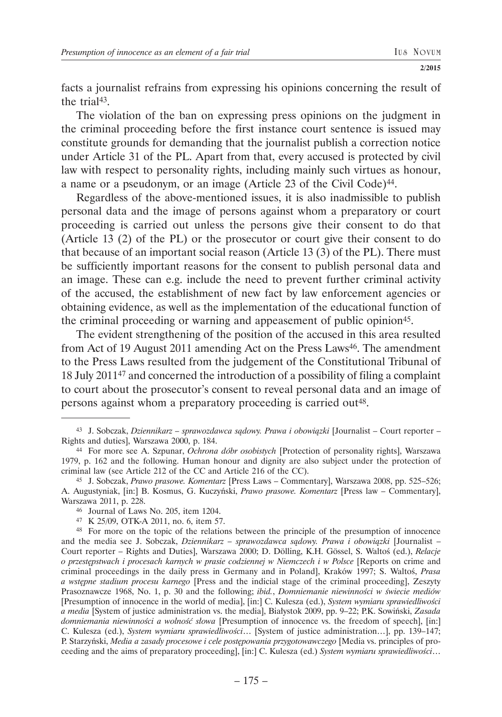facts a journalist refrains from expressing his opinions concerning the result of the trial<sup>43</sup>

The violation of the ban on expressing press opinions on the judgment in the criminal proceeding before the first instance court sentence is issued may constitute grounds for demanding that the journalist publish a correction notice under Article 31 of the PL. Apart from that, every accused is protected by civil law with respect to personality rights, including mainly such virtues as honour, a name or a pseudonym, or an image (Article 23 of the Civil Code)44.

Regardless of the above-mentioned issues, it is also inadmissible to publish personal data and the image of persons against whom a preparatory or court proceeding is carried out unless the persons give their consent to do that (Article 13 (2) of the PL) or the prosecutor or court give their consent to do that because of an important social reason (Article 13 (3) of the PL). There must be sufficiently important reasons for the consent to publish personal data and an image. These can e.g. include the need to prevent further criminal activity of the accused, the establishment of new fact by law enforcement agencies or obtaining evidence, as well as the implementation of the educational function of the criminal proceeding or warning and appeasement of public opinion<sup>45</sup>.

The evident strengthening of the position of the accused in this area resulted from Act of 19 August 2011 amending Act on the Press Laws46. The amendment to the Press Laws resulted from the judgement of the Constitutional Tribunal of 18 July 201147 and concerned the introduction of a possibility of filing a complaint to court about the prosecutor's consent to reveal personal data and an image of persons against whom a preparatory proceeding is carried out<sup>48</sup>.

<sup>43</sup> J. Sobczak, *Dziennikarz – sprawozdawca sądowy. Prawa i obowiązki* [Journalist – Court reporter – Rights and duties], Warszawa 2000, p. 184.

<sup>44</sup> For more see A. Szpunar, *Ochrona dóbr osobistych* [Protection of personality rights], Warszawa 1979, p. 162 and the following. Human honour and dignity are also subject under the protection of criminal law (see Article 212 of the CC and Article 216 of the CC).

<sup>45</sup> J. Sobczak, *Prawo prasowe. Komentarz* [Press Laws – Commentary], Warszawa 2008, pp. 525–526; A. Augustyniak, [in:] B. Kosmus, G. Kuczyński, *Prawo prasowe. Komentarz* [Press law – Commentary], Warszawa 2011, p. 228.

<sup>46</sup> Journal of Laws No. 205, item 1204.

<sup>47</sup> K 25/09, OTK-A 2011, no. 6, item 57.

<sup>48</sup> For more on the topic of the relations between the principle of the presumption of innocence and the media see J. Sobczak, *Dziennikarz – sprawozdawca sądowy. Prawa i obowiązki* [Journalist – Court reporter – Rights and Duties], Warszawa 2000; D. Dölling, K.H. Gössel, S. Waltoś (ed.), *Relacje o przestępstwach i procesach karnych w prasie codziennej w Niemczech i w Polsce* [Reports on crime and criminal proceedings in the daily press in Germany and in Poland], Kraków 1997; S. Waltoś, *Prasa a wstępne stadium procesu karnego* [Press and the indicial stage of the criminal proceeding], Zeszyty Prasoznawcze 1968, No. 1, p. 30 and the following; *ibid.*, *Domniemanie niewinności w świecie mediów* [Presumption of innocence in the world of media], [in:] C. Kulesza (ed.), *System wymiaru sprawiedliwości a media* [System of justice administration vs. the media], Białystok 2009, pp. 9–22; P.K. Sowiński, *Zasada domniemania niewinności a wolność słowa* [Presumption of innocence vs. the freedom of speech], [in:] C. Kulesza (ed.), *System wymiaru sprawiedliwości*… [System of justice administration…], pp. 139–147; P. Starzyński, *Media a zasady procesowe i cele postępowania przygotowawczego* [Media vs. principles of proceeding and the aims of preparatory proceeding], [in:] C. Kulesza (ed.) *System wymiaru sprawiedliwości*…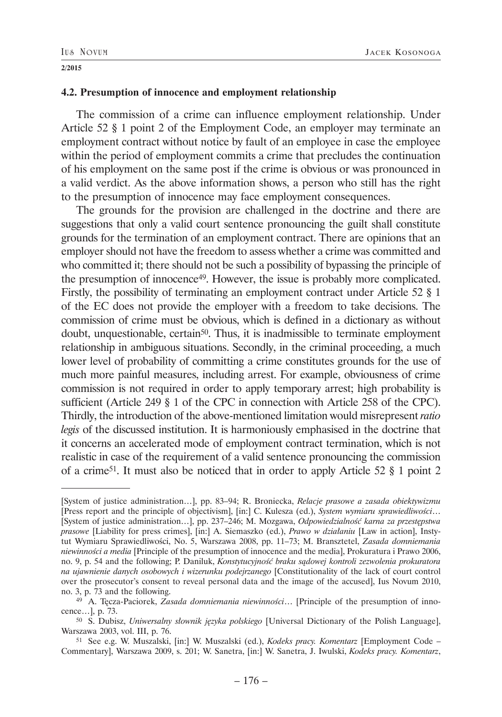### **4.2. Presumption of innocence and employment relationship**

The commission of a crime can influence employment relationship. Under Article 52 § 1 point 2 of the Employment Code, an employer may terminate an employment contract without notice by fault of an employee in case the employee within the period of employment commits a crime that precludes the continuation of his employment on the same post if the crime is obvious or was pronounced in a valid verdict. As the above information shows, a person who still has the right to the presumption of innocence may face employment consequences.

The grounds for the provision are challenged in the doctrine and there are suggestions that only a valid court sentence pronouncing the guilt shall constitute grounds for the termination of an employment contract. There are opinions that an employer should not have the freedom to assess whether a crime was committed and who committed it; there should not be such a possibility of bypassing the principle of the presumption of innocence49. However, the issue is probably more complicated. Firstly, the possibility of terminating an employment contract under Article 52 § 1 of the EC does not provide the employer with a freedom to take decisions. The commission of crime must be obvious, which is defined in a dictionary as without doubt, unquestionable, certain<sup>50</sup>. Thus, it is inadmissible to terminate employment relationship in ambiguous situations. Secondly, in the criminal proceeding, a much lower level of probability of committing a crime constitutes grounds for the use of much more painful measures, including arrest. For example, obviousness of crime commission is not required in order to apply temporary arrest; high probability is sufficient (Article 249 § 1 of the CPC in connection with Article 258 of the CPC). Thirdly, the introduction of the above-mentioned limitation would misrepresent *ratio legis* of the discussed institution. It is harmoniously emphasised in the doctrine that it concerns an accelerated mode of employment contract termination, which is not realistic in case of the requirement of a valid sentence pronouncing the commission of a crime51. It must also be noticed that in order to apply Article 52 § 1 point 2

<sup>[</sup>System of justice administration…], pp. 83–94; R. Broniecka, *Relacje prasowe a zasada obiektywizmu* [Press report and the principle of objectivism], [in:] C. Kulesza (ed.), *System wymiaru sprawiedliwości*… [System of justice administration…], pp. 237–246; M. Mozgawa, *Odpowiedzialność karna za przestępstwa prasowe* [Liability for press crimes], [in:] A. Siemaszko (ed.), *Prawo w działaniu* [Law in action], Instytut Wymiaru Sprawiedliwości, No. 5, Warszawa 2008, pp. 11–73; M. Bransztetel, *Zasada domniemania niewinności a media* [Principle of the presumption of innocence and the media], Prokuratura i Prawo 2006, no. 9, p. 54 and the following; P. Daniluk, *Konstytucyjność braku sądowej kontroli zezwolenia prokuratora na ujawnienie danych osobowych i wizerunku podejrzanego* [Constitutionality of the lack of court control over the prosecutor's consent to reveal personal data and the image of the accused], Ius Novum 2010, no. 3, p. 73 and the following.

<sup>49</sup> A. Tęcza-Paciorek, *Zasada domniemania niewinności*… [Principle of the presumption of innocence…], p. 73.

<sup>50</sup> S. Dubisz, *Uniwersalny słownik języka polskiego* [Universal Dictionary of the Polish Language], Warszawa 2003, vol. III, p. 76.

<sup>51</sup> See e.g. W. Muszalski, [in:] W. Muszalski (ed.), *Kodeks pracy. Komentarz* [Employment Code – Commentary], Warszawa 2009, s. 201; W. Sanetra, [in:] W. Sanetra, J. Iwulski, *Kodeks pracy. Komentarz*,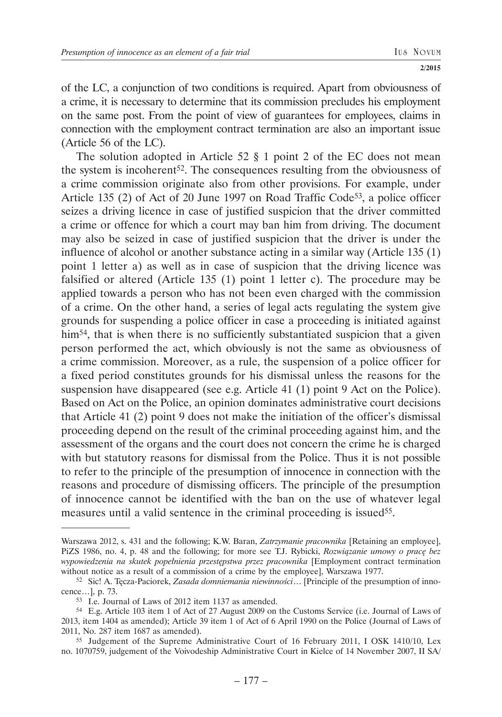of the LC, a conjunction of two conditions is required. Apart from obviousness of a crime, it is necessary to determine that its commission precludes his employment on the same post. From the point of view of guarantees for employees, claims in connection with the employment contract termination are also an important issue (Article 56 of the LC).

The solution adopted in Article 52 § 1 point 2 of the EC does not mean the system is incoherent<sup>52</sup>. The consequences resulting from the obviousness of a crime commission originate also from other provisions. For example, under Article 135 (2) of Act of 20 June 1997 on Road Traffic Code<sup>53</sup>, a police officer seizes a driving licence in case of justified suspicion that the driver committed a crime or offence for which a court may ban him from driving. The document may also be seized in case of justified suspicion that the driver is under the influence of alcohol or another substance acting in a similar way (Article 135 (1) point 1 letter a) as well as in case of suspicion that the driving licence was falsified or altered (Article 135 (1) point 1 letter c). The procedure may be applied towards a person who has not been even charged with the commission of a crime. On the other hand, a series of legal acts regulating the system give grounds for suspending a police officer in case a proceeding is initiated against him<sup>54</sup>, that is when there is no sufficiently substantiated suspicion that a given person performed the act, which obviously is not the same as obviousness of a crime commission. Moreover, as a rule, the suspension of a police officer for a fixed period constitutes grounds for his dismissal unless the reasons for the suspension have disappeared (see e.g. Article 41 (1) point 9 Act on the Police). Based on Act on the Police, an opinion dominates administrative court decisions that Article 41 (2) point 9 does not make the initiation of the officer's dismissal proceeding depend on the result of the criminal proceeding against him, and the assessment of the organs and the court does not concern the crime he is charged with but statutory reasons for dismissal from the Police. Thus it is not possible to refer to the principle of the presumption of innocence in connection with the reasons and procedure of dismissing officers. The principle of the presumption of innocence cannot be identified with the ban on the use of whatever legal measures until a valid sentence in the criminal proceeding is issued<sup>55</sup>.

Warszawa 2012, s. 431 and the following; K.W. Baran, *Zatrzymanie pracownika* [Retaining an employee], PiZS 1986, no. 4, p. 48 and the following; for more see T.J. Rybicki, *Rozwiązanie umowy o pracę bez wypowiedzenia na skutek popełnienia przestępstwa przez pracownika* [Employment contract termination without notice as a result of a commission of a crime by the employee], Warszawa 1977.

<sup>52</sup> Sic! A. Tęcza-Paciorek, *Zasada domniemania niewinności*… [Principle of the presumption of innocence…], p. 73.

<sup>53</sup> I.e. Journal of Laws of 2012 item 1137 as amended.

<sup>54</sup> E.g. Article 103 item 1 of Act of 27 August 2009 on the Customs Service (i.e. Journal of Laws of 2013, item 1404 as amended); Article 39 item 1 of Act of 6 April 1990 on the Police (Journal of Laws of 2011, No. 287 item 1687 as amended).

<sup>55</sup> Judgement of the Supreme Administrative Court of 16 February 2011, I OSK 1410/10, Lex no. 1070759, judgement of the Voivodeship Administrative Court in Kielce of 14 November 2007, II SA/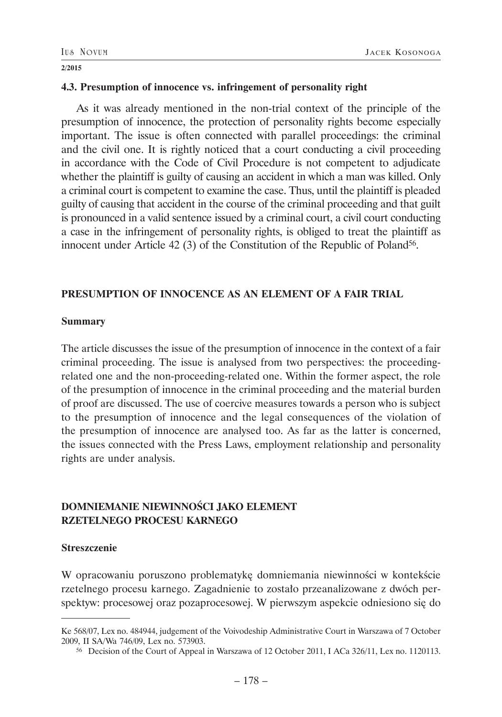### **4.3. Presumption of innocence vs. infringement of personality right**

As it was already mentioned in the non-trial context of the principle of the presumption of innocence, the protection of personality rights become especially important. The issue is often connected with parallel proceedings: the criminal and the civil one. It is rightly noticed that a court conducting a civil proceeding in accordance with the Code of Civil Procedure is not competent to adjudicate whether the plaintiff is guilty of causing an accident in which a man was killed. Only a criminal court is competent to examine the case. Thus, until the plaintiff is pleaded guilty of causing that accident in the course of the criminal proceeding and that guilt is pronounced in a valid sentence issued by a criminal court, a civil court conducting a case in the infringement of personality rights, is obliged to treat the plaintiff as innocent under Article 42 (3) of the Constitution of the Republic of Poland<sup>56</sup>.

### **PRESUMPTION OF INNOCENCE AS AN ELEMENT OF A FAIR TRIAL**

### **Summary**

The article discusses the issue of the presumption of innocence in the context of a fair criminal proceeding. The issue is analysed from two perspectives: the proceedingrelated one and the non-proceeding-related one. Within the former aspect, the role of the presumption of innocence in the criminal proceeding and the material burden of proof are discussed. The use of coercive measures towards a person who is subject to the presumption of innocence and the legal consequences of the violation of the presumption of innocence are analysed too. As far as the latter is concerned, the issues connected with the Press Laws, employment relationship and personality rights are under analysis.

# **DOMNIEMANIE NIEWINNOŚCI JAKO ELEMENT RZETELNEGO PROCESU KARNEGO**

### **Streszczenie**

W opracowaniu poruszono problematykę domniemania niewinności w kontekście rzetelnego procesu karnego. Zagadnienie to zostało przeanalizowane z dwóch perspektyw: procesowej oraz pozaprocesowej. W pierwszym aspekcie odniesiono się do

Ke 568/07, Lex no. 484944, judgement of the Voivodeship Administrative Court in Warszawa of 7 October 2009, II SA/Wa 746/09, Lex no. 573903.

<sup>56</sup> Decision of the Court of Appeal in Warszawa of 12 October 2011, I ACa 326/11, Lex no. 1120113.